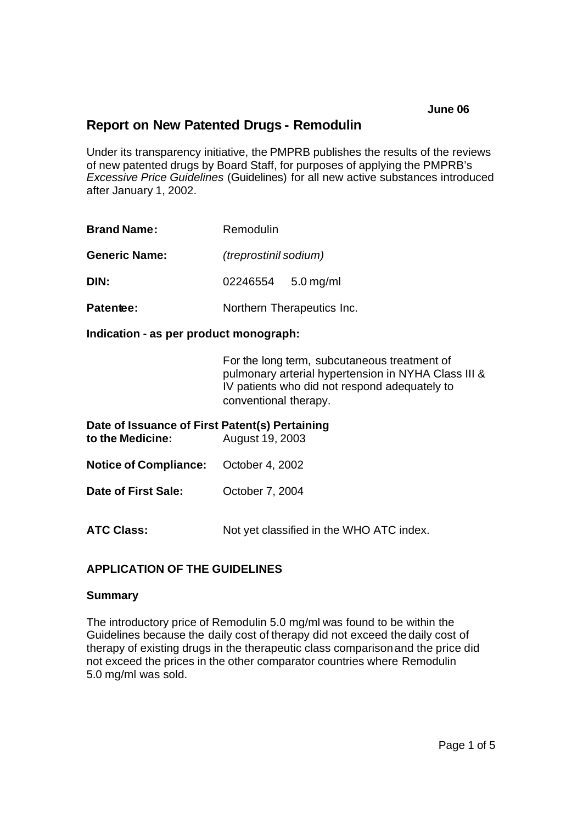# **Report on New Patented Drugs - Remodulin**

Under its transparency initiative, the PMPRB publishes the results of the reviews of new patented drugs by Board Staff, for purposes of applying the PMPRB's *Excessive Price Guidelines* (Guidelines) for all new active substances introduced after January 1, 2002.

| Remodulin |
|-----------|
|           |

**Generic Name:** *(treprostinil sodium)*

**DIN:** 02246554 5.0 mg/ml

**Patentee:** Northern Therapeutics Inc.

**Indication - as per product monograph:**

For the long term, subcutaneous treatment of pulmonary arterial hypertension in NYHA Class III & IV patients who did not respond adequately to conventional therapy.

| Date of Issuance of First Patent(s) Pertaining<br>to the Medicine: | August 19, 2003                          |
|--------------------------------------------------------------------|------------------------------------------|
| <b>Notice of Compliance:</b> October 4, 2002                       |                                          |
| Date of First Sale:                                                | October 7, 2004                          |
| <b>ATC Class:</b>                                                  | Not yet classified in the WHO ATC index. |

## **APPLICATION OF THE GUIDELINES**

### **Summary**

The introductory price of Remodulin 5.0 mg/ml was found to be within the Guidelines because the daily cost of therapy did not exceed the daily cost of therapy of existing drugs in the therapeutic class comparison and the price did not exceed the prices in the other comparator countries where Remodulin 5.0 mg/ml was sold.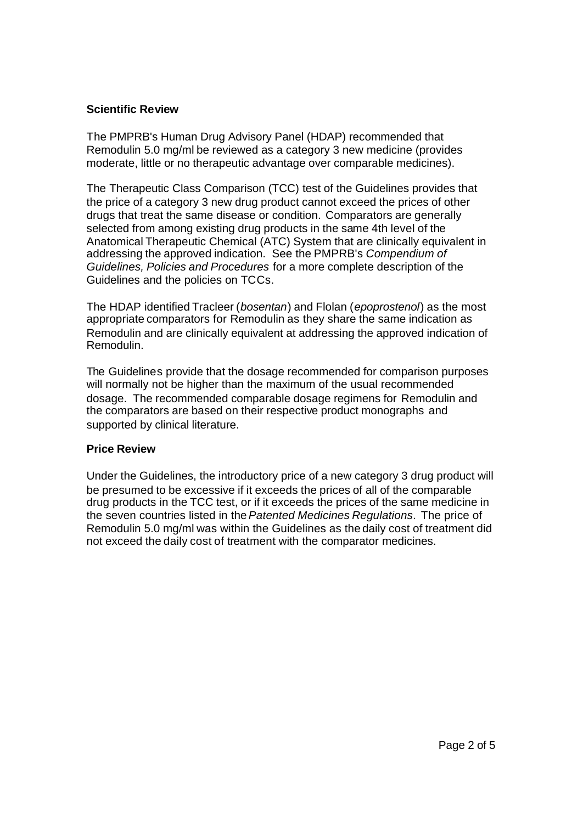### **Scientific Review**

The PMPRB's Human Drug Advisory Panel (HDAP) recommended that Remodulin 5.0 mg/ml be reviewed as a category 3 new medicine (provides moderate, little or no therapeutic advantage over comparable medicines).

The Therapeutic Class Comparison (TCC) test of the Guidelines provides that the price of a category 3 new drug product cannot exceed the prices of other drugs that treat the same disease or condition. Comparators are generally selected from among existing drug products in the same 4th level of the Anatomical Therapeutic Chemical (ATC) System that are clinically equivalent in addressing the approved indication. See the PMPRB's *Compendium of Guidelines, Policies and Procedures* for a more complete description of the Guidelines and the policies on TCCs.

The HDAP identified Tracleer (*bosentan*) and Flolan (*epoprostenol*) as the most appropriate comparators for Remodulin as they share the same indication as Remodulin and are clinically equivalent at addressing the approved indication of Remodulin.

The Guidelines provide that the dosage recommended for comparison purposes will normally not be higher than the maximum of the usual recommended dosage. The recommended comparable dosage regimens for Remodulin and the comparators are based on their respective product monographs and supported by clinical literature.

### **Price Review**

Under the Guidelines, the introductory price of a new category 3 drug product will be presumed to be excessive if it exceeds the prices of all of the comparable drug products in the TCC test, or if it exceeds the prices of the same medicine in the seven countries listed in the *Patented Medicines Regulations*. The price of Remodulin 5.0 mg/ml was within the Guidelines as the daily cost of treatment did not exceed the daily cost of treatment with the comparator medicines.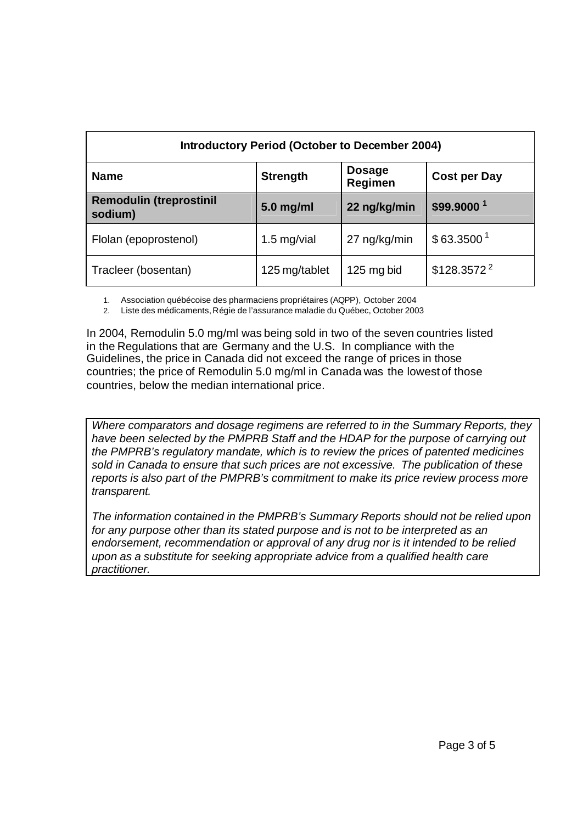| Introductory Period (October to December 2004) |                 |                          |                         |  |
|------------------------------------------------|-----------------|--------------------------|-------------------------|--|
| <b>Name</b>                                    | <b>Strength</b> | <b>Dosage</b><br>Regimen | <b>Cost per Day</b>     |  |
| <b>Remodulin (treprostinil</b><br>sodium)      | $5.0$ mg/ml     | 22 ng/kg/min             | $$99.9000$ <sup>1</sup> |  |
| Flolan (epoprostenol)                          | 1.5 mg/vial     | 27 ng/kg/min             | \$63.3500 <sup>1</sup>  |  |
| Tracleer (bosentan)                            | 125 mg/tablet   | 125 mg bid               | \$128.3572 <sup>2</sup> |  |

1. Association québécoise des pharmaciens propriétaires (AQPP), October 2004

2. Liste des médicaments, Régie de l'assurance maladie du Québec, October 2003

In 2004, Remodulin 5.0 mg/ml was being sold in two of the seven countries listed in the Regulations that are Germany and the U.S. In compliance with the Guidelines, the price in Canada did not exceed the range of prices in those countries; the price of Remodulin 5.0 mg/ml in Canada was the lowest of those countries, below the median international price.

*Where comparators and dosage regimens are referred to in the Summary Reports, they have been selected by the PMPRB Staff and the HDAP for the purpose of carrying out the PMPRB's regulatory mandate, which is to review the prices of patented medicines sold in Canada to ensure that such prices are not excessive. The publication of these reports is also part of the PMPRB's commitment to make its price review process more transparent.*

*The information contained in the PMPRB's Summary Reports should not be relied upon for any purpose other than its stated purpose and is not to be interpreted as an endorsement, recommendation or approval of any drug nor is it intended to be relied upon as a substitute for seeking appropriate advice from a qualified health care practitioner.*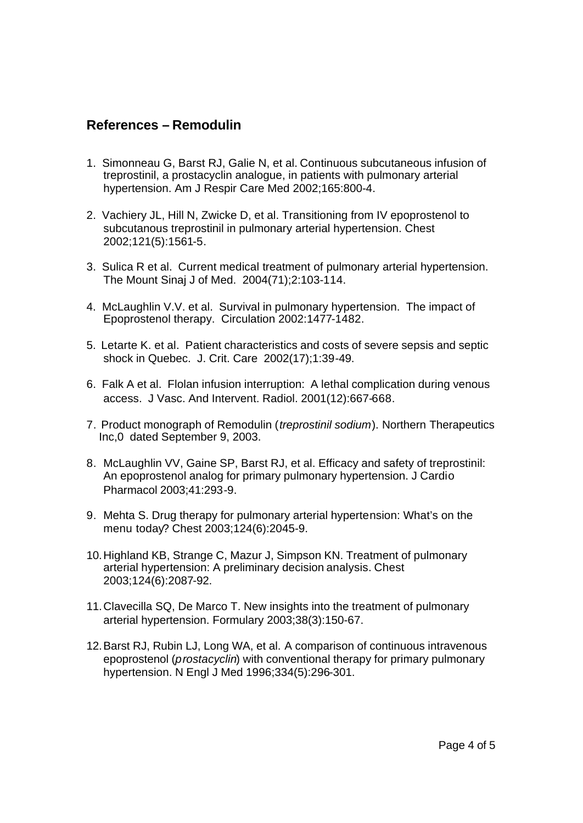# **References – Remodulin**

- 1. Simonneau G, Barst RJ, Galie N, et al. Continuous subcutaneous infusion of treprostinil, a prostacyclin analogue, in patients with pulmonary arterial hypertension. Am J Respir Care Med 2002;165:800-4.
- 2. Vachiery JL, Hill N, Zwicke D, et al. Transitioning from IV epoprostenol to subcutanous treprostinil in pulmonary arterial hypertension. Chest 2002;121(5):1561-5.
- 3. Sulica R et al. Current medical treatment of pulmonary arterial hypertension. The Mount Sinaj J of Med. 2004(71);2:103-114.
- 4. McLaughlin V.V. et al. Survival in pulmonary hypertension. The impact of Epoprostenol therapy. Circulation 2002:1477-1482.
- 5. Letarte K. et al. Patient characteristics and costs of severe sepsis and septic shock in Quebec. J. Crit. Care 2002(17);1:39-49.
- 6. Falk A et al. Flolan infusion interruption: A lethal complication during venous access. J Vasc. And Intervent. Radiol. 2001(12):667-668.
- 7. Product monograph of Remodulin (*treprostinil sodium*). Northern Therapeutics Inc,0 dated September 9, 2003.
- 8. McLaughlin VV, Gaine SP, Barst RJ, et al. Efficacy and safety of treprostinil: An epoprostenol analog for primary pulmonary hypertension. J Cardio Pharmacol 2003;41:293-9.
- 9. Mehta S. Drug therapy for pulmonary arterial hypertension: What's on the menu today? Chest 2003;124(6):2045-9.
- 10.Highland KB, Strange C, Mazur J, Simpson KN. Treatment of pulmonary arterial hypertension: A preliminary decision analysis. Chest 2003;124(6):2087-92.
- 11.Clavecilla SQ, De Marco T. New insights into the treatment of pulmonary arterial hypertension. Formulary 2003;38(3):150-67.
- 12.Barst RJ, Rubin LJ, Long WA, et al. A comparison of continuous intravenous epoprostenol (*prostacyclin*) with conventional therapy for primary pulmonary hypertension. N Engl J Med 1996;334(5):296-301.